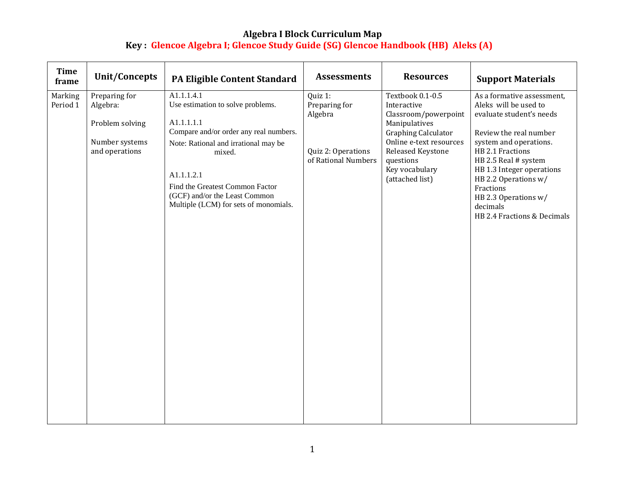| <b>Time</b><br>frame | <b>Unit/Concepts</b>              | <b>PA Eligible Content Standard</b>                              | <b>Assessments</b>                        | <b>Resources</b>                                                                        | <b>Support Materials</b>                                                     |
|----------------------|-----------------------------------|------------------------------------------------------------------|-------------------------------------------|-----------------------------------------------------------------------------------------|------------------------------------------------------------------------------|
| Marking              | Preparing for                     | A1.1.1.4.1                                                       | Quiz 1:                                   | Textbook 0.1-0.5                                                                        | As a formative assessment,                                                   |
| Period 1             | Algebra:                          | Use estimation to solve problems.                                | Preparing for                             | Interactive                                                                             | Aleks will be used to                                                        |
|                      | Problem solving<br>Number systems | A1.1.1.1.1<br>Compare and/or order any real numbers.             | Algebra                                   | Classroom/powerpoint<br>Manipulatives<br>Graphing Calculator<br>Online e-text resources | evaluate student's needs<br>Review the real number<br>system and operations. |
|                      | and operations                    | Note: Rational and irrational may be<br>mixed.                   | Quiz 2: Operations<br>of Rational Numbers | Released Keystone<br>questions                                                          | HB 2.1 Fractions<br>HB 2.5 Real # system                                     |
|                      |                                   | A1.1.1.2.1                                                       |                                           | Key vocabulary                                                                          | HB 1.3 Integer operations                                                    |
|                      |                                   | Find the Greatest Common Factor<br>(GCF) and/or the Least Common |                                           | (attached list)                                                                         | HB 2.2 Operations w/<br>Fractions<br>HB 2.3 Operations w/                    |
|                      |                                   | Multiple (LCM) for sets of monomials.                            |                                           |                                                                                         | decimals                                                                     |
|                      |                                   |                                                                  |                                           |                                                                                         | HB 2.4 Fractions & Decimals                                                  |
|                      |                                   |                                                                  |                                           |                                                                                         |                                                                              |
|                      |                                   |                                                                  |                                           |                                                                                         |                                                                              |
|                      |                                   |                                                                  |                                           |                                                                                         |                                                                              |
|                      |                                   |                                                                  |                                           |                                                                                         |                                                                              |
|                      |                                   |                                                                  |                                           |                                                                                         |                                                                              |
|                      |                                   |                                                                  |                                           |                                                                                         |                                                                              |
|                      |                                   |                                                                  |                                           |                                                                                         |                                                                              |
|                      |                                   |                                                                  |                                           |                                                                                         |                                                                              |
|                      |                                   |                                                                  |                                           |                                                                                         |                                                                              |
|                      |                                   |                                                                  |                                           |                                                                                         |                                                                              |
|                      |                                   |                                                                  |                                           |                                                                                         |                                                                              |
|                      |                                   |                                                                  |                                           |                                                                                         |                                                                              |
|                      |                                   |                                                                  |                                           |                                                                                         |                                                                              |
|                      |                                   |                                                                  |                                           |                                                                                         |                                                                              |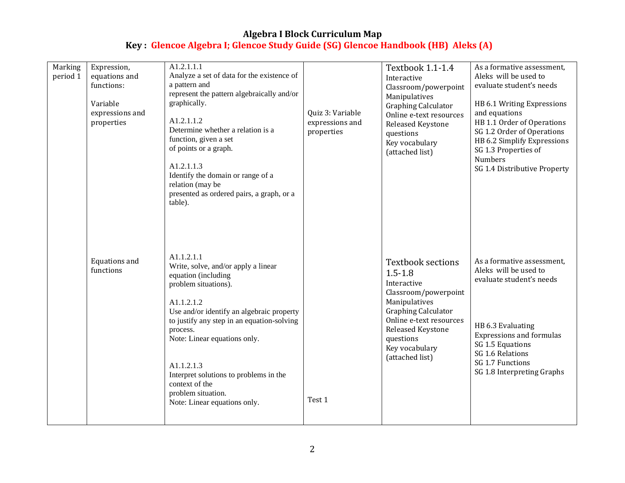| Marking<br>period 1 | Expression,<br>equations and<br>functions:<br>Variable<br>expressions and<br>properties | A1.2.1.1.1<br>Analyze a set of data for the existence of<br>a pattern and<br>represent the pattern algebraically and/or<br>graphically.<br>A1.2.1.1.2<br>Determine whether a relation is a<br>function, given a set<br>of points or a graph.<br>A1.2.1.1.3<br>Identify the domain or range of a<br>relation (may be<br>presented as ordered pairs, a graph, or a<br>table).           | Quiz 3: Variable<br>expressions and<br>properties | Textbook 1.1-1.4<br>Interactive<br>Classroom/powerpoint<br>Manipulatives<br><b>Graphing Calculator</b><br>Online e-text resources<br>Released Keystone<br>questions<br>Key vocabulary<br>(attached list)                        | As a formative assessment,<br>Aleks will be used to<br>evaluate student's needs<br>HB 6.1 Writing Expressions<br>and equations<br>HB 1.1 Order of Operations<br>SG 1.2 Order of Operations<br>HB 6.2 Simplify Expressions<br>SG 1.3 Properties of<br><b>Numbers</b><br>SG 1.4 Distributive Property |
|---------------------|-----------------------------------------------------------------------------------------|---------------------------------------------------------------------------------------------------------------------------------------------------------------------------------------------------------------------------------------------------------------------------------------------------------------------------------------------------------------------------------------|---------------------------------------------------|---------------------------------------------------------------------------------------------------------------------------------------------------------------------------------------------------------------------------------|-----------------------------------------------------------------------------------------------------------------------------------------------------------------------------------------------------------------------------------------------------------------------------------------------------|
|                     | <b>Equations</b> and<br>functions                                                       | A1.1.2.1.1<br>Write, solve, and/or apply a linear<br>equation (including<br>problem situations).<br>A1.1.2.1.2<br>Use and/or identify an algebraic property<br>to justify any step in an equation-solving<br>process.<br>Note: Linear equations only.<br>A1.1.2.1.3<br>Interpret solutions to problems in the<br>context of the<br>problem situation.<br>Note: Linear equations only. | Test 1                                            | <b>Textbook sections</b><br>$1.5 - 1.8$<br>Interactive<br>Classroom/powerpoint<br>Manipulatives<br><b>Graphing Calculator</b><br>Online e-text resources<br>Released Keystone<br>questions<br>Key vocabulary<br>(attached list) | As a formative assessment.<br>Aleks will be used to<br>evaluate student's needs<br>HB 6.3 Evaluating<br><b>Expressions and formulas</b><br>SG 1.5 Equations<br>SG 1.6 Relations<br>SG 1.7 Functions<br>SG 1.8 Interpreting Graphs                                                                   |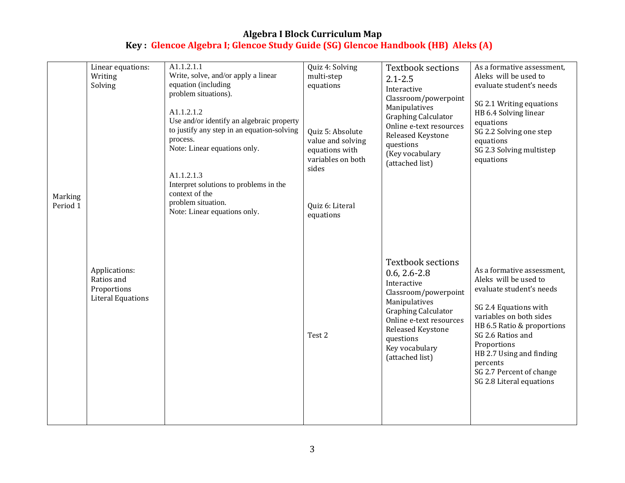| Marking<br>Period 1 | Linear equations:<br>Writing<br>Solving                                | A1.1.2.1.1<br>Write, solve, and/or apply a linear<br>equation (including<br>problem situations).<br>A1.1.2.1.2<br>Use and/or identify an algebraic property<br>to justify any step in an equation-solving<br>process.<br>Note: Linear equations only.<br>A1.1.2.1.3<br>Interpret solutions to problems in the<br>context of the<br>problem situation.<br>Note: Linear equations only. | Quiz 4: Solving<br>multi-step<br>equations<br>Quiz 5: Absolute<br>value and solving<br>equations with<br>variables on both<br>sides<br>Quiz 6: Literal<br>equations | <b>Textbook sections</b><br>$2.1 - 2.5$<br>Interactive<br>Classroom/powerpoint<br>Manipulatives<br><b>Graphing Calculator</b><br>Online e-text resources<br>Released Keystone<br>questions<br>(Key vocabulary<br>(attached list)     | As a formative assessment,<br>Aleks will be used to<br>evaluate student's needs<br>SG 2.1 Writing equations<br>HB 6.4 Solving linear<br>equations<br>SG 2.2 Solving one step<br>equations<br>SG 2.3 Solving multistep<br>equations                                                                    |
|---------------------|------------------------------------------------------------------------|---------------------------------------------------------------------------------------------------------------------------------------------------------------------------------------------------------------------------------------------------------------------------------------------------------------------------------------------------------------------------------------|---------------------------------------------------------------------------------------------------------------------------------------------------------------------|--------------------------------------------------------------------------------------------------------------------------------------------------------------------------------------------------------------------------------------|-------------------------------------------------------------------------------------------------------------------------------------------------------------------------------------------------------------------------------------------------------------------------------------------------------|
|                     | Applications:<br>Ratios and<br>Proportions<br><b>Literal Equations</b> |                                                                                                                                                                                                                                                                                                                                                                                       | Test 2                                                                                                                                                              | <b>Textbook sections</b><br>$0.6, 2.6 - 2.8$<br>Interactive<br>Classroom/powerpoint<br>Manipulatives<br><b>Graphing Calculator</b><br>Online e-text resources<br>Released Keystone<br>questions<br>Key vocabulary<br>(attached list) | As a formative assessment,<br>Aleks will be used to<br>evaluate student's needs<br>SG 2.4 Equations with<br>variables on both sides<br>HB 6.5 Ratio & proportions<br>SG 2.6 Ratios and<br>Proportions<br>HB 2.7 Using and finding<br>percents<br>SG 2.7 Percent of change<br>SG 2.8 Literal equations |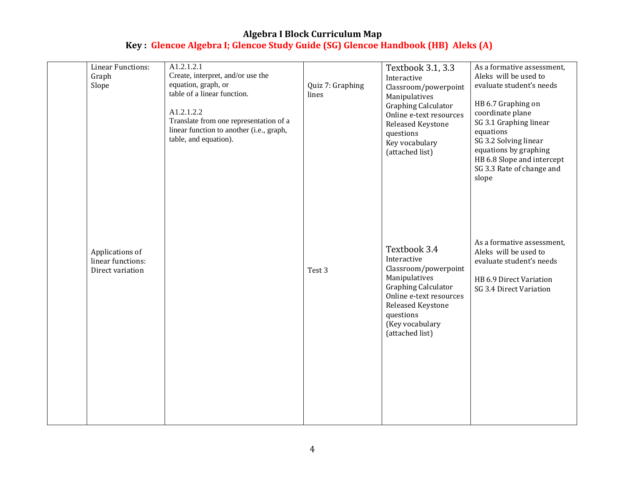| <b>Linear Functions:</b><br>Graph<br>Slope               | A1.2.1.2.1<br>Create, interpret, and/or use the<br>equation, graph, or<br>table of a linear function.<br>A1.2.1.2.2<br>Translate from one representation of a<br>linear function to another (i.e., graph,<br>table, and equation). | Quiz 7: Graphing<br>lines | Textbook 3.1, 3.3<br>Interactive<br>Classroom/powerpoint<br>Manipulatives<br><b>Graphing Calculator</b><br>Online e-text resources<br>Released Keystone<br>questions<br>Key vocabulary<br>(attached list) | As a formative assessment,<br>Aleks will be used to<br>evaluate student's needs<br>HB 6.7 Graphing on<br>coordinate plane<br>SG 3.1 Graphing linear<br>equations<br>SG 3.2 Solving linear<br>equations by graphing<br>HB 6.8 Slope and intercept<br>SG 3.3 Rate of change and<br>slope |
|----------------------------------------------------------|------------------------------------------------------------------------------------------------------------------------------------------------------------------------------------------------------------------------------------|---------------------------|-----------------------------------------------------------------------------------------------------------------------------------------------------------------------------------------------------------|----------------------------------------------------------------------------------------------------------------------------------------------------------------------------------------------------------------------------------------------------------------------------------------|
| Applications of<br>linear functions:<br>Direct variation |                                                                                                                                                                                                                                    | Test 3                    | Textbook 3.4<br>Interactive<br>Classroom/powerpoint<br>Manipulatives<br><b>Graphing Calculator</b><br>Online e-text resources<br>Released Keystone<br>questions<br>(Key vocabulary<br>(attached list)     | As a formative assessment,<br>Aleks will be used to<br>evaluate student's needs<br>HB 6.9 Direct Variation<br>SG 3.4 Direct Variation                                                                                                                                                  |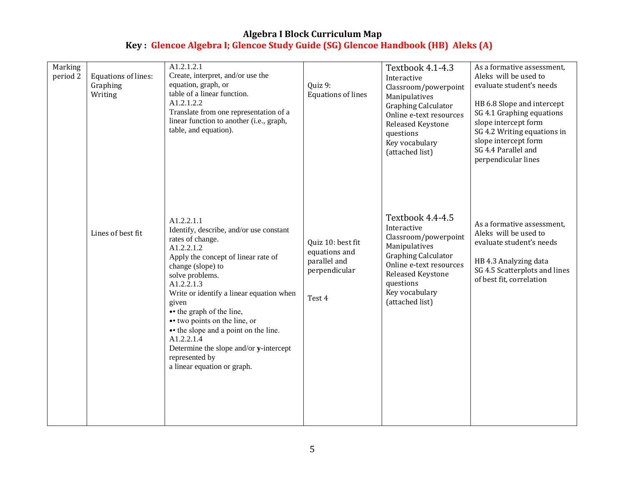| Marking<br>period 2 | Equations of lines:<br>Graphing<br>Writing | A1.2.1.2.1<br>Create, interpret, and/or use the<br>equation, graph, or<br>table of a linear function.<br>A1.2.1.2.2<br>Translate from one representation of a<br>linear function to another (i.e., graph,<br>table, and equation).                                                                                                                                                                                                                      | Quiz 9:<br><b>Equations of lines</b>                                          | Textbook 4.1-4.3<br>Interactive<br>Classroom/powerpoint<br>Manipulatives<br><b>Graphing Calculator</b><br>Online e-text resources<br>Released Keystone<br>questions<br>Key vocabulary<br>(attached list) | As a formative assessment,<br>Aleks will be used to<br>evaluate student's needs<br>HB 6.8 Slope and intercept<br>SG 4.1 Graphing equations<br>slope intercept form<br>SG 4.2 Writing equations in<br>slope intercept form<br>SG 4.4 Parallel and<br>perpendicular lines |
|---------------------|--------------------------------------------|---------------------------------------------------------------------------------------------------------------------------------------------------------------------------------------------------------------------------------------------------------------------------------------------------------------------------------------------------------------------------------------------------------------------------------------------------------|-------------------------------------------------------------------------------|----------------------------------------------------------------------------------------------------------------------------------------------------------------------------------------------------------|-------------------------------------------------------------------------------------------------------------------------------------------------------------------------------------------------------------------------------------------------------------------------|
|                     | Lines of best fit                          | A1.2.2.1.1<br>Identify, describe, and/or use constant<br>rates of change.<br>A1.2.2.1.2<br>Apply the concept of linear rate of<br>change (slope) to<br>solve problems.<br>A1.2.2.1.3<br>Write or identify a linear equation when<br>given<br>•• the graph of the line,<br>• two points on the line, or<br>• the slope and a point on the line.<br>A1.2.2.1.4<br>Determine the slope and/or y-intercept<br>represented by<br>a linear equation or graph. | Quiz 10: best fit<br>equations and<br>parallel and<br>perpendicular<br>Test 4 | Textbook 4.4-4.5<br>Interactive<br>Classroom/powerpoint<br>Manipulatives<br><b>Graphing Calculator</b><br>Online e-text resources<br>Released Keystone<br>questions<br>Key vocabulary<br>(attached list) | As a formative assessment,<br>Aleks will be used to<br>evaluate student's needs<br>HB 4.3 Analyzing data<br>SG 4.5 Scatterplots and lines<br>of best fit, correlation                                                                                                   |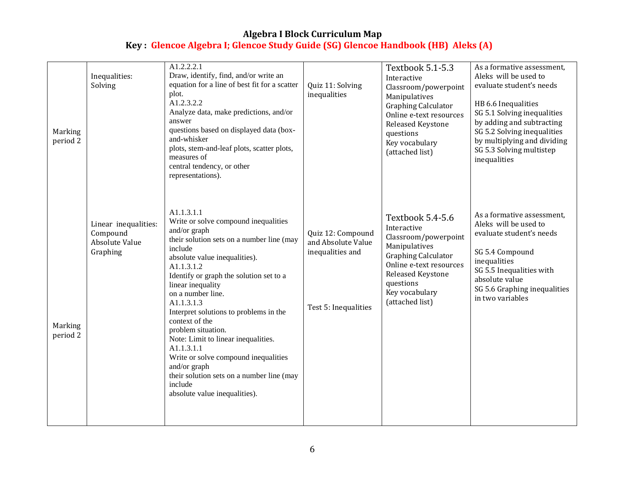| Marking<br>period 2 | Inequalities:<br>Solving                                              | A1.2.2.2.1<br>Draw, identify, find, and/or write an<br>equation for a line of best fit for a scatter<br>plot.<br>A1.2.3.2.2<br>Analyze data, make predictions, and/or<br>answer<br>questions based on displayed data (box-<br>and-whisker<br>plots, stem-and-leaf plots, scatter plots,<br>measures of<br>central tendency, or other<br>representations).                                                                                                                                                                                                            | Quiz 11: Solving<br>inequalities                                                    | Textbook 5.1-5.3<br>Interactive<br>Classroom/powerpoint<br>Manipulatives<br><b>Graphing Calculator</b><br>Online e-text resources<br><b>Released Keystone</b><br>questions<br>Key vocabulary<br>(attached list) | As a formative assessment,<br>Aleks will be used to<br>evaluate student's needs<br>HB 6.6 Inequalities<br>SG 5.1 Solving inequalities<br>by adding and subtracting<br>SG 5.2 Solving inequalities<br>by multiplying and dividing<br>SG 5.3 Solving multistep<br>inequalities |
|---------------------|-----------------------------------------------------------------------|----------------------------------------------------------------------------------------------------------------------------------------------------------------------------------------------------------------------------------------------------------------------------------------------------------------------------------------------------------------------------------------------------------------------------------------------------------------------------------------------------------------------------------------------------------------------|-------------------------------------------------------------------------------------|-----------------------------------------------------------------------------------------------------------------------------------------------------------------------------------------------------------------|------------------------------------------------------------------------------------------------------------------------------------------------------------------------------------------------------------------------------------------------------------------------------|
| Marking<br>period 2 | Linear inequalities:<br>Compound<br><b>Absolute Value</b><br>Graphing | A1.1.3.1.1<br>Write or solve compound inequalities<br>and/or graph<br>their solution sets on a number line (may<br>include<br>absolute value inequalities).<br>A1.1.3.1.2<br>Identify or graph the solution set to a<br>linear inequality<br>on a number line.<br>A1.1.3.1.3<br>Interpret solutions to problems in the<br>context of the<br>problem situation.<br>Note: Limit to linear inequalities.<br>A1.1.3.1.1<br>Write or solve compound inequalities<br>and/or graph<br>their solution sets on a number line (may<br>include<br>absolute value inequalities). | Quiz 12: Compound<br>and Absolute Value<br>inequalities and<br>Test 5: Inequalities | Textbook 5.4-5.6<br>Interactive<br>Classroom/powerpoint<br>Manipulatives<br><b>Graphing Calculator</b><br>Online e-text resources<br>Released Keystone<br>questions<br>Key vocabulary<br>(attached list)        | As a formative assessment,<br>Aleks will be used to<br>evaluate student's needs<br>SG 5.4 Compound<br>inequalities<br>SG 5.5 Inequalities with<br>absolute value<br>SG 5.6 Graphing inequalities<br>in two variables                                                         |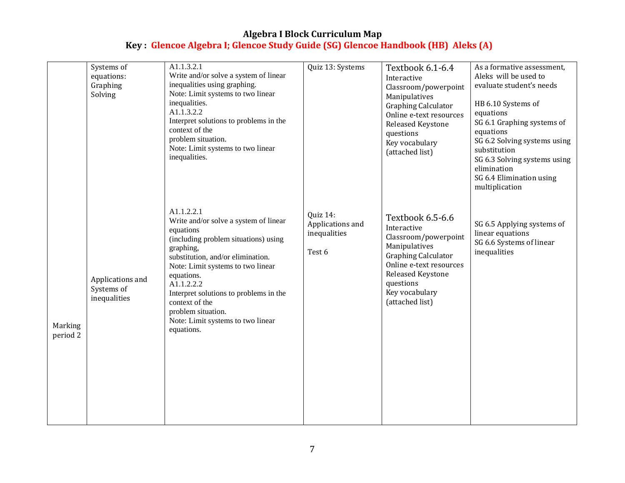|                     | Systems of<br>equations:<br>Graphing<br>Solving | A1.1.3.2.1<br>Write and/or solve a system of linear<br>inequalities using graphing.<br>Note: Limit systems to two linear<br>inequalities.<br>A1.1.3.2.2<br>Interpret solutions to problems in the<br>context of the<br>problem situation.<br>Note: Limit systems to two linear<br>inequalities.                                                                  | Quiz 13: Systems                                       | Textbook 6.1-6.4<br>Interactive<br>Classroom/powerpoint<br>Manipulatives<br>Graphing Calculator<br>Online e-text resources<br>Released Keystone<br>questions<br>Key vocabulary<br>(attached list) | As a formative assessment,<br>Aleks will be used to<br>evaluate student's needs<br>HB 6.10 Systems of<br>equations<br>SG 6.1 Graphing systems of<br>equations<br>SG 6.2 Solving systems using<br>substitution<br>SG 6.3 Solving systems using<br>elimination<br>SG 6.4 Elimination using<br>multiplication |
|---------------------|-------------------------------------------------|------------------------------------------------------------------------------------------------------------------------------------------------------------------------------------------------------------------------------------------------------------------------------------------------------------------------------------------------------------------|--------------------------------------------------------|---------------------------------------------------------------------------------------------------------------------------------------------------------------------------------------------------|------------------------------------------------------------------------------------------------------------------------------------------------------------------------------------------------------------------------------------------------------------------------------------------------------------|
| Marking<br>period 2 | Applications and<br>Systems of<br>inequalities  | A1.1.2.2.1<br>Write and/or solve a system of linear<br>equations<br>(including problem situations) using<br>graphing,<br>substitution, and/or elimination.<br>Note: Limit systems to two linear<br>equations.<br>A1.1.2.2.2<br>Interpret solutions to problems in the<br>context of the<br>problem situation.<br>Note: Limit systems to two linear<br>equations. | Quiz 14:<br>Applications and<br>inequalities<br>Test 6 | Textbook 6.5-6.6<br>Interactive<br>Classroom/powerpoint<br>Manipulatives<br>Graphing Calculator<br>Online e-text resources<br>Released Keystone<br>questions<br>Key vocabulary<br>(attached list) | SG 6.5 Applying systems of<br>linear equations<br>SG 6.6 Systems of linear<br>inequalities                                                                                                                                                                                                                 |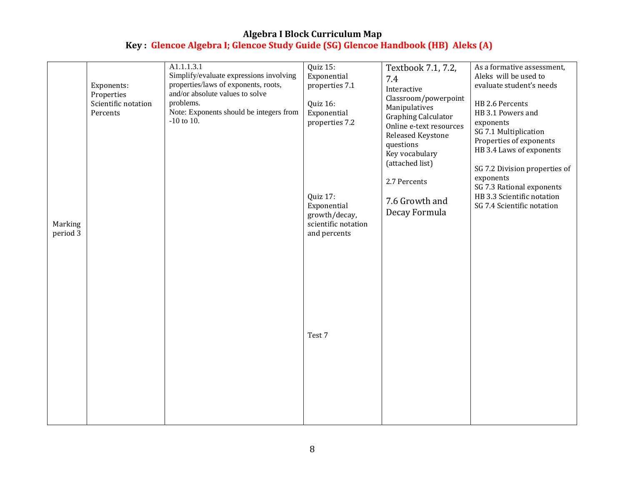| Marking<br>period 3 | Exponents:<br>Properties<br>Scientific notation<br>Percents | A1.1.1.3.1<br>Simplify/evaluate expressions involving<br>properties/laws of exponents, roots,<br>and/or absolute values to solve<br>problems.<br>Note: Exponents should be integers from<br>$-10$ to 10. | Quiz 15:<br>Exponential<br>properties 7.1<br>Quiz 16:<br>Exponential<br>properties 7.2<br>Quiz 17:<br>Exponential<br>growth/decay,<br>scientific notation<br>and percents | Textbook 7.1, 7.2,<br>7.4<br>Interactive<br>Classroom/powerpoint<br>Manipulatives<br><b>Graphing Calculator</b><br>Online e-text resources<br>Released Keystone<br>questions<br>Key vocabulary<br>(attached list)<br>2.7 Percents<br>7.6 Growth and<br>Decay Formula | As a formative assessment,<br>Aleks will be used to<br>evaluate student's needs<br>HB 2.6 Percents<br>HB 3.1 Powers and<br>exponents<br>SG 7.1 Multiplication<br>Properties of exponents<br>HB 3.4 Laws of exponents<br>SG 7.2 Division properties of<br>exponents<br>SG 7.3 Rational exponents<br>HB 3.3 Scientific notation<br>SG 7.4 Scientific notation |
|---------------------|-------------------------------------------------------------|----------------------------------------------------------------------------------------------------------------------------------------------------------------------------------------------------------|---------------------------------------------------------------------------------------------------------------------------------------------------------------------------|----------------------------------------------------------------------------------------------------------------------------------------------------------------------------------------------------------------------------------------------------------------------|-------------------------------------------------------------------------------------------------------------------------------------------------------------------------------------------------------------------------------------------------------------------------------------------------------------------------------------------------------------|
|                     |                                                             |                                                                                                                                                                                                          | Test 7                                                                                                                                                                    |                                                                                                                                                                                                                                                                      |                                                                                                                                                                                                                                                                                                                                                             |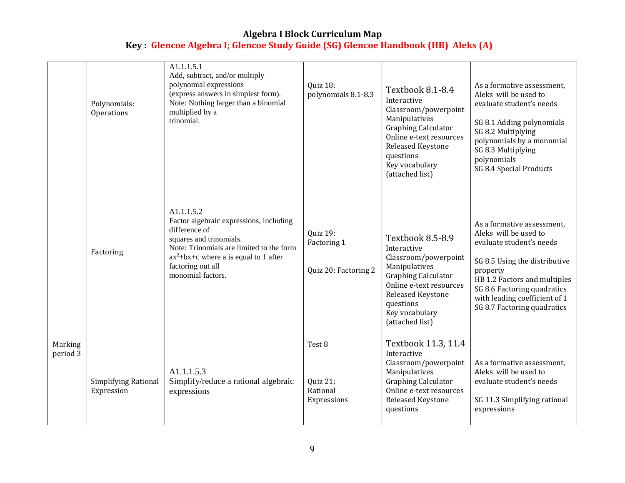|                     | Polynomials:<br>Operations         | A1.1.1.5.1<br>Add, subtract, and/or multiply<br>polynomial expressions<br>(express answers in simplest form).<br>Note: Nothing larger than a binomial<br>multiplied by a<br>trinomial.                                             | Quiz 18:<br>polynomials 8.1-8.3                 | Textbook 8.1-8.4<br>Interactive<br>Classroom/powerpoint<br>Manipulatives<br>Graphing Calculator<br>Online e-text resources<br>Released Keystone<br>questions<br>Key vocabulary<br>(attached list)        | As a formative assessment,<br>Aleks will be used to<br>evaluate student's needs<br>SG 8.1 Adding polynomials<br>SG 8.2 Multiplying<br>polynomials by a monomial<br>SG 8.3 Multiplying<br>polynomials<br>SG 8.4 Special Products                             |
|---------------------|------------------------------------|------------------------------------------------------------------------------------------------------------------------------------------------------------------------------------------------------------------------------------|-------------------------------------------------|----------------------------------------------------------------------------------------------------------------------------------------------------------------------------------------------------------|-------------------------------------------------------------------------------------------------------------------------------------------------------------------------------------------------------------------------------------------------------------|
|                     | Factoring                          | A1.1.1.5.2<br>Factor algebraic expressions, including<br>difference of<br>squares and trinomials.<br>Note: Trinomials are limited to the form<br>$ax^2+bx+c$ where a is equal to 1 after<br>factoring out all<br>monomial factors. | Quiz 19:<br>Factoring 1<br>Quiz 20: Factoring 2 | Textbook 8.5-8.9<br>Interactive<br>Classroom/powerpoint<br>Manipulatives<br><b>Graphing Calculator</b><br>Online e-text resources<br>Released Keystone<br>questions<br>Key vocabulary<br>(attached list) | As a formative assessment.<br>Aleks will be used to<br>evaluate student's needs<br>SG 8.5 Using the distributive<br>property<br>HB 1.2 Factors and multiples<br>SG 8.6 Factoring quadratics<br>with leading coefficient of 1<br>SG 8.7 Factoring quadratics |
| Marking<br>period 3 | Simplifying Rational<br>Expression | A1.1.1.5.3<br>Simplify/reduce a rational algebraic<br>expressions                                                                                                                                                                  | Test 8<br>Quiz 21:<br>Rational<br>Expressions   | Textbook 11.3, 11.4<br>Interactive<br>Classroom/powerpoint<br>Manipulatives<br><b>Graphing Calculator</b><br>Online e-text resources<br>Released Keystone<br>questions                                   | As a formative assessment,<br>Aleks will be used to<br>evaluate student's needs<br>SG 11.3 Simplifying rational<br>expressions                                                                                                                              |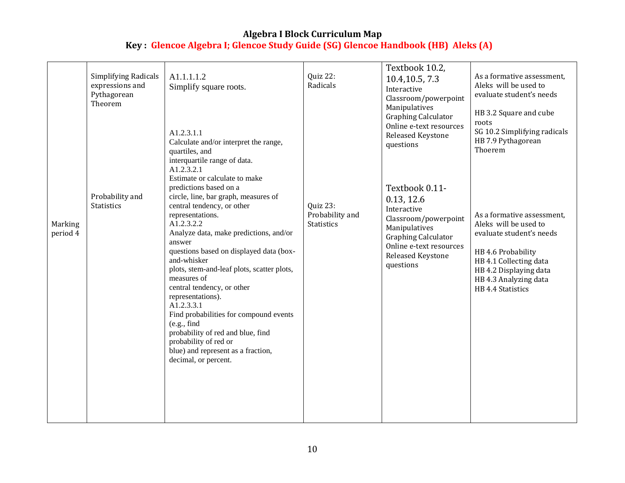|                     | Simplifying Radicals<br>expressions and<br>Pythagorean<br>Theorem | A1.1.1.1.2<br>Simplify square roots.<br>A1.2.3.1.1<br>Calculate and/or interpret the range,<br>quartiles, and<br>interquartile range of data.<br>A1.2.3.2.1                                                                                                                                                                                                                                                                                                                                                                                                                                       | Quiz 22:<br>Radicals                      | Textbook 10.2,<br>10.4, 10.5, 7.3<br>Interactive<br>Classroom/powerpoint<br>Manipulatives<br><b>Graphing Calculator</b><br>Online e-text resources<br>Released Keystone<br>questions | As a formative assessment,<br>Aleks will be used to<br>evaluate student's needs<br>HB 3.2 Square and cube<br>roots<br>SG 10.2 Simplifying radicals<br>HB 7.9 Pythagorean<br>Thoerem                     |
|---------------------|-------------------------------------------------------------------|---------------------------------------------------------------------------------------------------------------------------------------------------------------------------------------------------------------------------------------------------------------------------------------------------------------------------------------------------------------------------------------------------------------------------------------------------------------------------------------------------------------------------------------------------------------------------------------------------|-------------------------------------------|--------------------------------------------------------------------------------------------------------------------------------------------------------------------------------------|---------------------------------------------------------------------------------------------------------------------------------------------------------------------------------------------------------|
| Marking<br>period 4 | Probability and<br><b>Statistics</b>                              | Estimate or calculate to make<br>predictions based on a<br>circle, line, bar graph, measures of<br>central tendency, or other<br>representations.<br>A1.2.3.2.2<br>Analyze data, make predictions, and/or<br>answer<br>questions based on displayed data (box-<br>and-whisker<br>plots, stem-and-leaf plots, scatter plots,<br>measures of<br>central tendency, or other<br>representations).<br>A1.2.3.3.1<br>Find probabilities for compound events<br>(e.g., find)<br>probability of red and blue, find<br>probability of red or<br>blue) and represent as a fraction,<br>decimal, or percent. | Quiz 23:<br>Probability and<br>Statistics | Textbook 0.11-<br>0.13, 12.6<br>Interactive<br>Classroom/powerpoint<br>Manipulatives<br>Graphing Calculator<br>Online e-text resources<br>Released Keystone<br>questions             | As a formative assessment,<br>Aleks will be used to<br>evaluate student's needs<br>HB 4.6 Probability<br>HB 4.1 Collecting data<br>HB 4.2 Displaying data<br>HB 4.3 Analyzing data<br>HB 4.4 Statistics |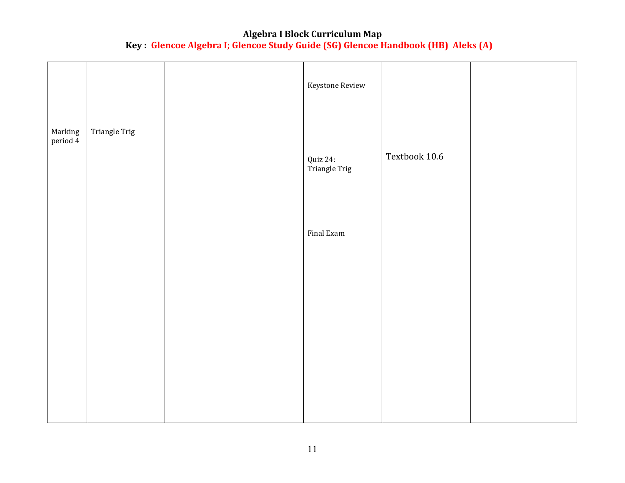|                     |                      | Keystone Review           |               |  |
|---------------------|----------------------|---------------------------|---------------|--|
| Marking<br>period 4 | <b>Triangle Trig</b> | Quiz 24:<br>Triangle Trig | Textbook 10.6 |  |
|                     |                      | Final Exam                |               |  |
|                     |                      |                           |               |  |
|                     |                      |                           |               |  |
|                     |                      |                           |               |  |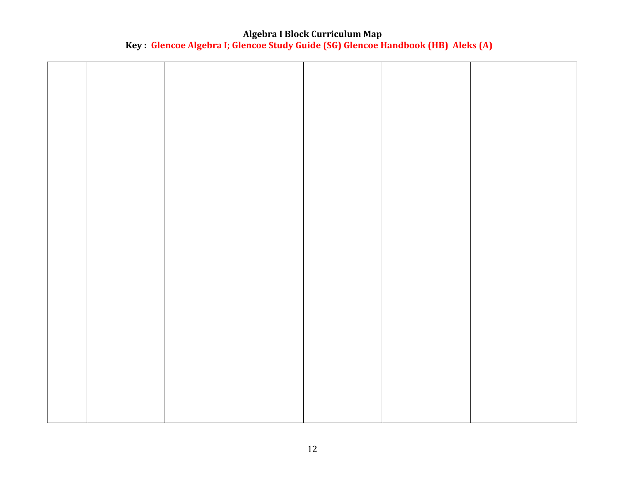| Algebra I Block Curriculum Map                                                   |  |  |
|----------------------------------------------------------------------------------|--|--|
| Key: Glencoe Algebra I; Glencoe Study Guide (SG) Glencoe Handbook (HB) Aleks (A) |  |  |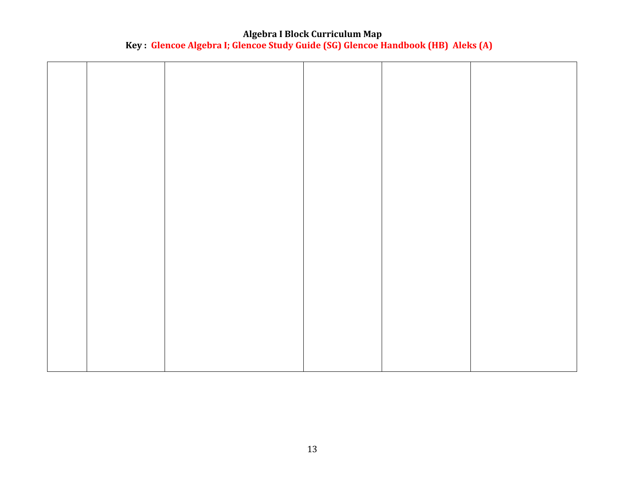| Algebra I Block Curriculum Map                                                   |  |
|----------------------------------------------------------------------------------|--|
| Key: Glencoe Algebra I; Glencoe Study Guide (SG) Glencoe Handbook (HB) Aleks (A) |  |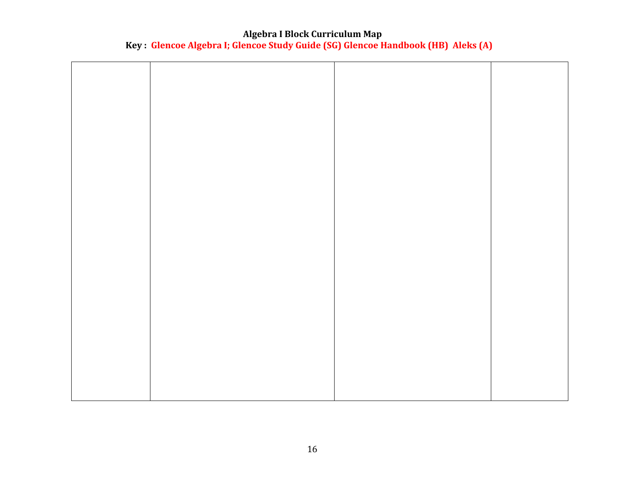| Algebra I Block Curriculum Map                                                   |  |
|----------------------------------------------------------------------------------|--|
| Key: Glencoe Algebra I; Glencoe Study Guide (SG) Glencoe Handbook (HB) Aleks (A) |  |